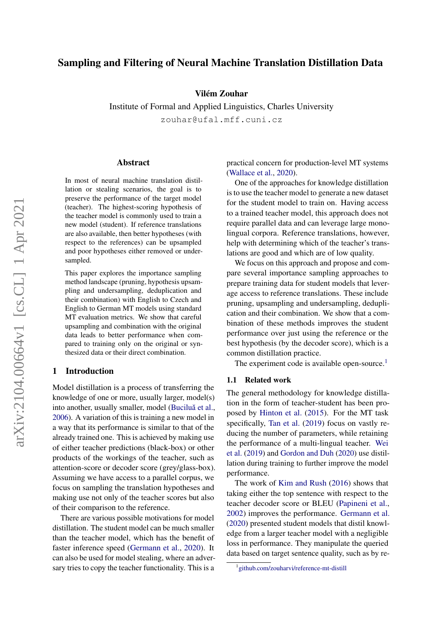# Sampling and Filtering of Neural Machine Translation Distillation Data

### Vilém Zouhar

Institute of Formal and Applied Linguistics, Charles University zouhar@ufal.mff.cuni.cz

#### Abstract

In most of neural machine translation distillation or stealing scenarios, the goal is to preserve the performance of the target model (teacher). The highest-scoring hypothesis of the teacher model is commonly used to train a new model (student). If reference translations are also available, then better hypotheses (with respect to the references) can be upsampled and poor hypotheses either removed or undersampled.

This paper explores the importance sampling method landscape (pruning, hypothesis upsampling and undersampling, deduplication and their combination) with English to Czech and English to German MT models using standard MT evaluation metrics. We show that careful upsampling and combination with the original data leads to better performance when compared to training only on the original or synthesized data or their direct combination.

### 1 Introduction

Model distillation is a process of transferring the knowledge of one or more, usually larger, model(s) into another, usually smaller, model (Buciluǎ et al., [2006\)](#page-6-0). A variation of this is training a new model in a way that its performance is similar to that of the already trained one. This is achieved by making use of either teacher predictions (black-box) or other products of the workings of the teacher, such as attention-score or decoder score (grey/glass-box). Assuming we have access to a parallel corpus, we focus on sampling the translation hypotheses and making use not only of the teacher scores but also of their comparison to the reference.

There are various possible motivations for model distillation. The student model can be much smaller than the teacher model, which has the benefit of faster inference speed [\(Germann et al.,](#page-6-1) [2020\)](#page-6-1). It can also be used for model stealing, where an adversary tries to copy the teacher functionality. This is a practical concern for production-level MT systems [\(Wallace et al.,](#page-7-0) [2020\)](#page-7-0).

One of the approaches for knowledge distillation is to use the teacher model to generate a new dataset for the student model to train on. Having access to a trained teacher model, this approach does not require parallel data and can leverage large monolingual corpora. Reference translations, however, help with determining which of the teacher's translations are good and which are of low quality.

We focus on this approach and propose and compare several importance sampling approaches to prepare training data for student models that leverage access to reference translations. These include pruning, upsampling and undersampling, deduplication and their combination. We show that a combination of these methods improves the student performance over just using the reference or the best hypothesis (by the decoder score), which is a common distillation practice.

The experiment code is available open-source.<sup>[1](#page-0-0)</sup>

# 1.1 Related work

The general methodology for knowledge distillation in the form of teacher-student has been proposed by [Hinton et al.](#page-6-2) [\(2015\)](#page-6-2). For the MT task specifically, [Tan et al.](#page-6-3) [\(2019\)](#page-6-3) focus on vastly reducing the number of parameters, while retaining the performance of a multi-lingual teacher. [Wei](#page-7-1) [et al.](#page-7-1) [\(2019\)](#page-7-1) and [Gordon and Duh](#page-6-4) [\(2020\)](#page-6-4) use distillation during training to further improve the model performance.

The work of [Kim and Rush](#page-6-5) [\(2016\)](#page-6-5) shows that taking either the top sentence with respect to the teacher decoder score or BLEU [\(Papineni et al.,](#page-6-6) [2002\)](#page-6-6) improves the performance. [Germann et al.](#page-6-1) [\(2020\)](#page-6-1) presented student models that distil knowledge from a larger teacher model with a negligible loss in performance. They manipulate the queried data based on target sentence quality, such as by re-

<span id="page-0-0"></span><sup>1</sup> [github.com/zouharvi/reference-mt-distill](https://github.com/zouharvi/reference-mt-distill)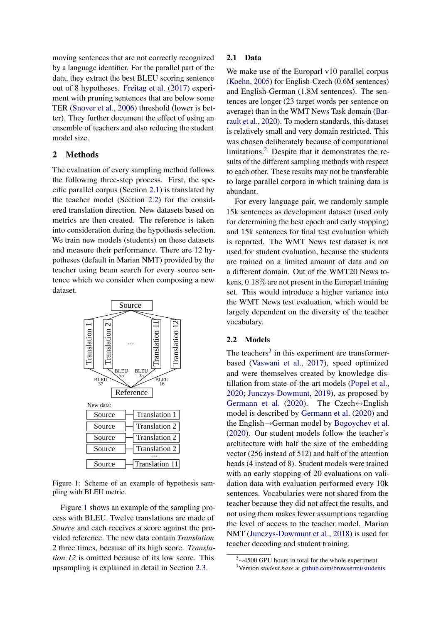moving sentences that are not correctly recognized by a language identifier. For the parallel part of the data, they extract the best BLEU scoring sentence out of 8 hypotheses. [Freitag et al.](#page-6-7) [\(2017\)](#page-6-7) experiment with pruning sentences that are below some TER [\(Snover et al.,](#page-6-8) [2006\)](#page-6-8) threshold (lower is better). They further document the effect of using an ensemble of teachers and also reducing the student model size.

# 2 Methods

The evaluation of every sampling method follows the following three-step process. First, the specific parallel corpus (Section [2.1\)](#page-1-0) is translated by the teacher model (Section [2.2\)](#page-1-1) for the considered translation direction. New datasets based on metrics are then created. The reference is taken into consideration during the hypothesis selection. We train new models (students) on these datasets and measure their performance. There are 12 hypotheses (default in Marian NMT) provided by the teacher using beam search for every source sentence which we consider when composing a new dataset.

<span id="page-1-2"></span>

Figure 1: Scheme of an example of hypothesis sampling with BLEU metric.

Figure [1](#page-1-2) shows an example of the sampling process with BLEU. Twelve translations are made of *Source* and each receives a score against the provided reference. The new data contain *Translation 2* three times, because of its high score. *Translation 12* is omitted because of its low score. This upsampling is explained in detail in Section [2.3.](#page-2-0)

#### <span id="page-1-0"></span>2.1 Data

We make use of the Europarl v10 parallel corpus [\(Koehn,](#page-6-9) [2005\)](#page-6-9) for English-Czech (0.6M sentences) and English-German (1.8M sentences). The sentences are longer (23 target words per sentence on average) than in the WMT News Task domain [\(Bar](#page-6-10)[rault et al.,](#page-6-10) [2020\)](#page-6-10). To modern standards, this dataset is relatively small and very domain restricted. This was chosen deliberately because of computational limitations. $\frac{2}{3}$  $\frac{2}{3}$  $\frac{2}{3}$  Despite that it demonstrates the results of the different sampling methods with respect to each other. These results may not be transferable to large parallel corpora in which training data is abundant.

For every language pair, we randomly sample 15k sentences as development dataset (used only for determining the best epoch and early stopping) and 15k sentences for final test evaluation which is reported. The WMT News test dataset is not used for student evaluation, because the students are trained on a limited amount of data and on a different domain. Out of the WMT20 News tokens, 0.18% are not present in the Europarl training set. This would introduce a higher variance into the WMT News test evaluation, which would be largely dependent on the diversity of the teacher vocabulary.

#### <span id="page-1-1"></span>2.2 Models

The teachers<sup>[3](#page-1-4)</sup> in this experiment are transformerbased [\(Vaswani et al.,](#page-7-2) [2017\)](#page-7-2), speed optimized and were themselves created by knowledge distillation from state-of-the-art models [\(Popel et al.,](#page-6-11) [2020;](#page-6-11) [Junczys-Dowmunt,](#page-6-12) [2019\)](#page-6-12), as proposed by [Germann et al.](#page-6-1) [\(2020\)](#page-6-1). The Czech $\leftrightarrow$ English model is described by [Germann et al.](#page-6-1) [\(2020\)](#page-6-1) and the English→German model by [Bogoychev et al.](#page-6-13) [\(2020\)](#page-6-13). Our student models follow the teacher's architecture with half the size of the embedding vector (256 instead of 512) and half of the attention heads (4 instead of 8). Student models were trained with an early stopping of 20 evaluations on validation data with evaluation performed every 10k sentences. Vocabularies were not shared from the teacher because they did not affect the results, and not using them makes fewer assumptions regarding the level of access to the teacher model. Marian NMT [\(Junczys-Dowmunt et al.,](#page-6-14) [2018\)](#page-6-14) is used for teacher decoding and student training.

<span id="page-1-3"></span><sup>2</sup>∼4500 GPU hours in total for the whole experiment

<span id="page-1-4"></span><sup>3</sup>Version *student.base* at [github.com/browsermt/students](https://github.com/browsermt/students)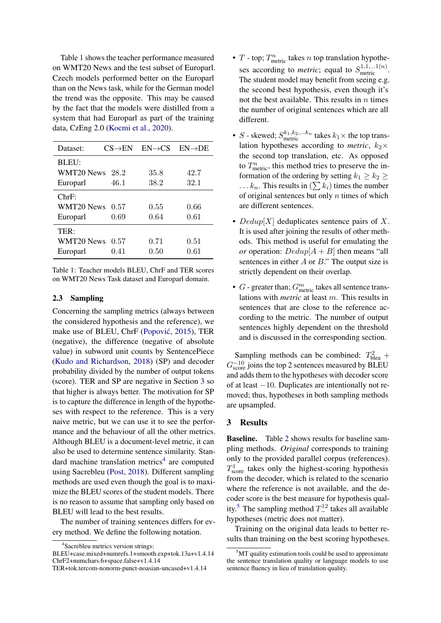Table [1](#page-2-1) shows the teacher performance measured on WMT20 News and the test subset of Europarl. Czech models performed better on the Europarl than on the News task, while for the German model the trend was the opposite. This may be caused by the fact that the models were distilled from a system that had Europarl as part of the training data, CzEng 2.0 [\(Kocmi et al.,](#page-6-15) [2020\)](#page-6-15).

<span id="page-2-1"></span>

| Dataset:          | $CS\rightarrow EN$ | $EN \rightarrow CS$ | $EN\rightarrow DE$ |
|-------------------|--------------------|---------------------|--------------------|
| BLEU:             |                    |                     |                    |
| WMT20 News $28.2$ |                    | 35.8                | 42.7               |
| Europarl          | 46.1               | 38.2                | 32.1               |
| ChrF:             |                    |                     |                    |
| WMT20 News $0.57$ |                    | 0.55                | 0.66               |
| Europarl          | 0.69               | 0.64                | 0.61               |
| TER:              |                    |                     |                    |
| WMT20 News 0.57   |                    | 0.71                | 0.51               |
| Europarl          | 0.41               | 0.50                | 0.61               |

Table 1: Teacher models BLEU, ChrF and TER scores on WMT20 News Task dataset and Europarl domain.

# <span id="page-2-0"></span>2.3 Sampling

Concerning the sampling metrics (always between the considered hypothesis and the reference), we make use of BLEU, ChrF (Popović, [2015\)](#page-6-16), TER (negative), the difference (negative of absolute value) in subword unit counts by SentencePiece [\(Kudo and Richardson,](#page-6-17) [2018\)](#page-6-17) (SP) and decoder probability divided by the number of output tokens (score). TER and SP are negative in Section [3](#page-2-2) so that higher is always better. The motivation for SP is to capture the difference in length of the hypotheses with respect to the reference. This is a very naive metric, but we can use it to see the performance and the behaviour of all the other metrics. Although BLEU is a document-level metric, it can also be used to determine sentence similarity. Stan-dard machine translation metrics<sup>[4](#page-2-3)</sup> are computed using Sacrebleu [\(Post,](#page-6-18) [2018\)](#page-6-18). Different sampling methods are used even though the goal is to maximize the BLEU scores of the student models. There is no reason to assume that sampling only based on BLEU will lead to the best results.

The number of training sentences differs for every method. We define the following notation.

- $T$  top;  $T^n_{\text{metric}}$  takes  $n$  top translation hypotheses according to *metric*; equal to  $S_{\text{metric}}^{1,1,\dots,1(n)}$ . The student model may benefit from seeing e.g. the second best hypothesis, even though it's not the best available. This results in  $n$  times the number of original sentences which are all different.
- *S* skewed;  $S_{\text{metric}}^{k_1, k_2, \dots, k_n}$  takes  $k_1 \times$  the top translation hypotheses according to *metric*,  $k_2 \times$ the second top translation, etc. As opposed to  $T^n_{\text{metric}}$ , this method tries to preserve the information of the ordering by setting  $k_1 \geq k_2 \geq$ ...  $k_n$ . This results in  $(\sum k_i)$  times the number of original sentences but only  $n$  times of which are different sentences.
- $Dedup[X]$  deduplicates sentence pairs of X. It is used after joining the results of other methods. This method is useful for emulating the *or* operation:  $Dedup[A + B]$  then means "all sentences in either  $A$  or  $B$ ." The output size is strictly dependent on their overlap.
- $G$  greater than;  $G<sub>metric</sub><sup>m</sup>$  takes all sentence translations with *metric* at least m. This results in sentences that are close to the reference according to the metric. The number of output sentences highly dependent on the threshold and is discussed in the corresponding section.

Sampling methods can be combined:  $T_{\text{bleu}}^2$  +  $G_{\text{score}}^{-10}$  joins the top 2 sentences measured by BLEU and adds them to the hypotheses with decoder score of at least −10. Duplicates are intentionally not removed; thus, hypotheses in both sampling methods are upsampled.

## <span id="page-2-2"></span>3 Results

**Baseline.** Table [2](#page-3-0) shows results for baseline sampling methods. *Original* corresponds to training only to the provided parallel corpus (references).  $T_{\text{score}}^1$  takes only the highest-scoring hypothesis from the decoder, which is related to the scenario where the reference is not available, and the decoder score is the best measure for hypothesis qual-ity.<sup>[5](#page-2-4)</sup> The sampling method  $T_{-}^{12}$  takes all available hypotheses (metric does not matter).

Training on the original data leads to better results than training on the best scoring hypotheses.

<span id="page-2-3"></span><sup>4</sup> Sacrebleu metrics version strings: BLEU+case.mixed+numrefs.1+smooth.exp+tok.13a+v1.4.14 ChrF2+numchars.6+space.false+v1.4.14

TER+tok.tercom-nonorm-punct-noasian-uncased+v1.4.14

<span id="page-2-4"></span> $5$ MT quality estimation tools could be used to approximate the sentence translation quality or language models to use sentence fluency in lieu of translation quality.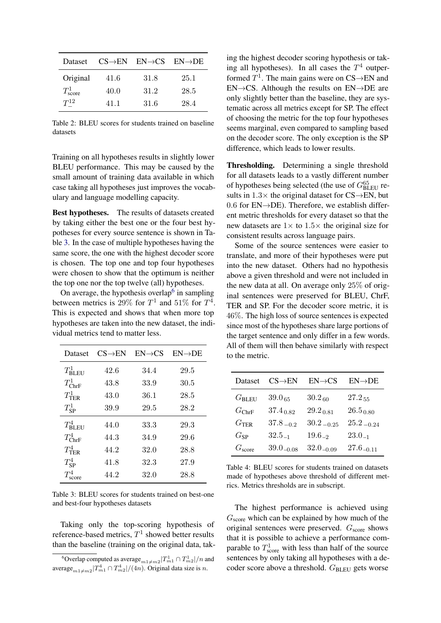<span id="page-3-0"></span>

| Dataset           | $CS\rightarrow EN$ | $EN \rightarrow CS$ | $EN\rightarrow DE$ |
|-------------------|--------------------|---------------------|--------------------|
| Original          | 41.6               | 31.8                | 25.1               |
| $T_{\rm score}^1$ | 40.0               | 31.2                | 28.5               |
| $T^{12}$          | 41 1               | 31.6                | 28.4               |

Table 2: BLEU scores for students trained on baseline datasets

Training on all hypotheses results in slightly lower BLEU performance. This may be caused by the small amount of training data available in which case taking all hypotheses just improves the vocabulary and language modelling capacity.

Best hypotheses. The results of datasets created by taking either the best one or the four best hypotheses for every source sentence is shown in Table [3.](#page-3-1) In the case of multiple hypotheses having the same score, the one with the highest decoder score is chosen. The top one and top four hypotheses were chosen to show that the optimum is neither the top one nor the top twelve (all) hypotheses.

On average, the hypothesis overlap<sup>[6](#page-3-2)</sup> in sampling between metrics is 29% for  $T^1$  and 51% for  $T^4$ . This is expected and shows that when more top hypotheses are taken into the new dataset, the individual metrics tend to matter less.

<span id="page-3-1"></span>

| Dataset               | $CS\rightarrow EN$ | $EN \rightarrow CS$ | $EN\rightarrow DE$ |
|-----------------------|--------------------|---------------------|--------------------|
| $T_{\mathsf{BLEU}}^1$ | 42.6               | 34.4                | 29.5               |
| $T_{\rm ChrF}^1$      | 43.8               | 33.9                | 30.5               |
| $T_{\rm TER}^1$       | 43.0               | 36.1                | 28.5               |
| $T^1_{\rm SP}$        | 39.9               | 29.5                | 28.2               |
| $T_{\rm{BLEU}}^4$     | 44.0               | 33.3                | 29.3               |
| $T_{\rm ChrF}^4$      | 44.3               | 34.9                | 29.6               |
| $T_{\rm TER}^4$       | 44.2               | 32.0                | 28.8               |
| $T_{\rm SP}^4$        | 41.8               | 32.3                | 27.9               |
| $T_{\rm score}^4$     | 44.2               | 32.0                | 28.8               |

Table 3: BLEU scores for students trained on best-one and best-four hypotheses datasets

Taking only the top-scoring hypothesis of reference-based metrics,  $T^1$  showed better results than the baseline (training on the original data, taking the highest decoder scoring hypothesis or taking all hypotheses). In all cases the  $T<sup>4</sup>$  outperformed  $T^1$ . The main gains were on CS $\rightarrow$ EN and EN→CS. Although the results on EN→DE are only slightly better than the baseline, they are systematic across all metrics except for SP. The effect of choosing the metric for the top four hypotheses seems marginal, even compared to sampling based on the decoder score. The only exception is the SP difference, which leads to lower results.

Thresholding. Determining a single threshold for all datasets leads to a vastly different number of hypotheses being selected (the use of  $G_{\text{BLEU}}^{65}$  results in  $1.3\times$  the original dataset for CS $\rightarrow$ EN, but 0.6 for  $EN\rightarrow$ DE). Therefore, we establish different metric thresholds for every dataset so that the new datasets are  $1 \times$  to  $1.5 \times$  the original size for consistent results across language pairs.

Some of the source sentences were easier to translate, and more of their hypotheses were put into the new dataset. Others had no hypothesis above a given threshold and were not included in the new data at all. On average only 25% of original sentences were preserved for BLEU, ChrF, TER and SP. For the decoder score metric, it is 46%. The high loss of source sentences is expected since most of the hypotheses share large portions of the target sentence and only differ in a few words. All of them will then behave similarly with respect to the metric.

| Dataset            | $CS \rightarrow EN$ | $EN \rightarrow CS$ | $EN\rightarrow DE$ |
|--------------------|---------------------|---------------------|--------------------|
| $G_{\rm BLEU}$     | $39.0_{65}$         | $30.2_{60}$         | $27.2_{55}$        |
| $G_{\rm ChrF}$     | $37.4_{0.82}$       | $29.2_{ 0.81}$      | $26.5_{0.80}$      |
| $G_{\rm TER}$      | $37.8_{-0.2}$       | $30.2_{-0.25}$      | $25.2 - 0.24$      |
| $G_{SP}$           | $32.5_{-1}$         | $19.6_{-2}$         | $23.0_{-1}$        |
| $G_{\text{score}}$ | $39.0_{-0.08}$      | $32.0_{-0.09}$      | $27.6_{-0.11}$     |

Table 4: BLEU scores for students trained on datasets made of hypotheses above threshold of different metrics. Metrics thresholds are in subscript.

The highest performance is achieved using  $G_{\text{score}}$  which can be explained by how much of the original sentences were preserved.  $G_{\text{score}}$  shows that it is possible to achieve a performance comparable to  $T_{\text{score}}^1$  with less than half of the source sentences by only taking all hypotheses with a decoder score above a threshold. GBLEU gets worse

<span id="page-3-2"></span> $^6$ Overlap computed as average $_{m1\neq m2}|T^1_{m1} \cap T^1_{m2}|/n$  and average $_{m1\neq m2}|T_{m1}^4 \cap T_{m2}^4|/(4n)$ . Original data size is n.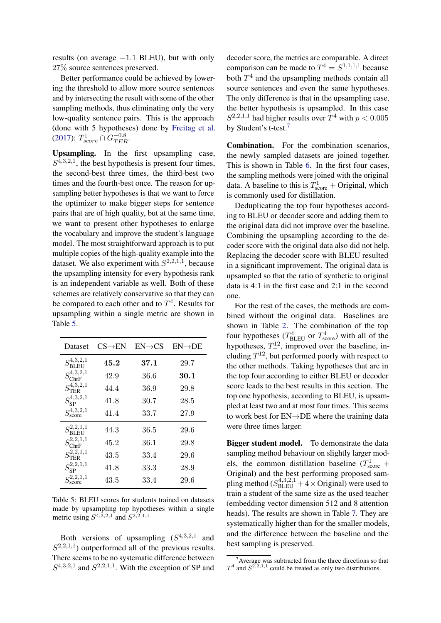results (on average  $-1.1$  BLEU), but with only 27% source sentences preserved.

Better performance could be achieved by lowering the threshold to allow more source sentences and by intersecting the result with some of the other sampling methods, thus eliminating only the very low-quality sentence pairs. This is the approach (done with 5 hypotheses) done by [Freitag et al.](#page-6-7)  $(2017)$ :  $T_{score}^1 \cap G_{TER}^{-0.8}$ .

Upsampling. In the first upsampling case,  $S^{4,3,2,1}$ , the best hypothesis is present four times, the second-best three times, the third-best two times and the fourth-best once. The reason for upsampling better hypotheses is that we want to force the optimizer to make bigger steps for sentence pairs that are of high quality, but at the same time, we want to present other hypotheses to enlarge the vocabulary and improve the student's language model. The most straightforward approach is to put multiple copies of the high-quality example into the dataset. We also experiment with  $S^{2,2,1,1}$ , because the upsampling intensity for every hypothesis rank is an independent variable as well. Both of these schemes are relatively conservative so that they can be compared to each other and to  $T^4$ . Results for upsampling within a single metric are shown in Table [5.](#page-4-0)

<span id="page-4-0"></span>

| Dataset                                       | $CS\rightarrow EN$ | $EN \rightarrow CS$ | $EN\rightarrow DE$ |
|-----------------------------------------------|--------------------|---------------------|--------------------|
| $S^{4,3,2,1}_{\rm pr}$<br>'BLEU               | 45.2               | 37.1                | 29.7               |
| $S_{\rm ChrF}^{4,3,2,1}$                      | 42.9               | 36.6                | $30.1\,$           |
| $S_{\rm TER}^{4,3,2,1}$                       | 44.4               | 36.9                | 29.8               |
| $S_{\rm SP}^{4,3,2,1}$                        | 41.8               | 30.7                | 28.5               |
| $S^{4,3,2,1}_{\text{score}}$                  | 41.4               | 33.7                | 27.9               |
| $S_{\mathsf{BLEU}}^{2,2,1,1}$                 | 44.3               | 36.5                | 29.6               |
| $S_{\rm ChrF}^{2,2,1,1}$                      | 45.2               | 36.1                | 29.8               |
| $S_{\rm TER}^{2,2,1,1}$                       | 43.5               | 33.4                | 29.6               |
| $S_{\rm SP}^{2,2,1,1}$                        | 41.8               | 33.3                | 28.9               |
| $C^{2,2,1,1}$<br>$\mathcal{D}_{\text{score}}$ | 43.5               | 33.4                | 29.6               |

Table 5: BLEU scores for students trained on datasets made by upsampling top hypotheses within a single metric using  $S^{4,3,2,1}$  and  $S^{2,2,1,1}$ 

Both versions of upsampling  $(S^{4,3,2,1})$  and  $S^{2,2,1,1}$ ) outperformed all of the previous results. There seems to be no systematic difference between  $S^{4,3,2,1}$  and  $S^{2,2,1,1}$ . With the exception of SP and

decoder score, the metrics are comparable. A direct comparison can be made to  $T^4 = S^{1,1,1,1}$  because both  $T<sup>4</sup>$  and the upsampling methods contain all source sentences and even the same hypotheses. The only difference is that in the upsampling case, the better hypothesis is upsampled. In this case  $S^{2,2,1,1}$  had higher results over  $T^4$  with  $p < 0.005$ by Student's t-test.[7](#page-4-1)

Combination. For the combination scenarios, the newly sampled datasets are joined together. This is shown in Table [6.](#page-5-0) In the first four cases, the sampling methods were joined with the original data. A baseline to this is  $T_{\text{score}}^1$  + Original, which is commonly used for distillation.

Deduplicating the top four hypotheses according to BLEU or decoder score and adding them to the original data did not improve over the baseline. Combining the upsampling according to the decoder score with the original data also did not help. Replacing the decoder score with BLEU resulted in a significant improvement. The original data is upsampled so that the ratio of synthetic to original data is 4:1 in the first case and 2:1 in the second one.

For the rest of the cases, the methods are combined without the original data. Baselines are shown in Table [2.](#page-3-0) The combination of the top four hypotheses ( $T_{BLEU}^4$  or  $T_{score}^4$ ) with all of the hypotheses,  $T_{-}^{12}$ , improved over the baseline, including  $T_{-}^{12}$ , but performed poorly with respect to the other methods. Taking hypotheses that are in the top four according to either BLEU or decoder score leads to the best results in this section. The top one hypothesis, according to BLEU, is upsampled at least two and at most four times. This seems to work best for EN→DE where the training data were three times larger.

Bigger student model. To demonstrate the data sampling method behaviour on slightly larger models, the common distillation baseline ( $T_{\text{score}}^1$  + Original) and the best performing proposed sampling method  $(S_{BLEU}^{4,3,2,1} + 4 \times \text{Original})$  were used to train a student of the same size as the used teacher (embedding vector dimension 512 and 8 attention heads). The results are shown in Table [7.](#page-5-1) They are systematically higher than for the smaller models, and the difference between the baseline and the best sampling is preserved.

<span id="page-4-1"></span> $7$ Average was subtracted from the three directions so that  $T^4$  and  $S^{2,2,1,1}$  could be treated as only two distributions.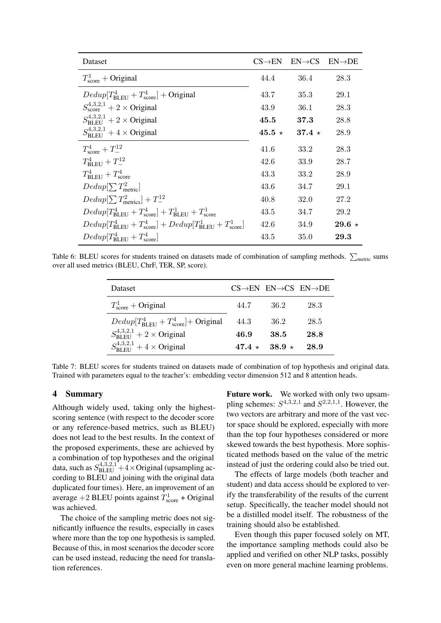<span id="page-5-0"></span>

| Dataset                                                                                                 | $CS\rightarrow EN$ | $EN \rightarrow CS$ | $EN\rightarrow DE$ |
|---------------------------------------------------------------------------------------------------------|--------------------|---------------------|--------------------|
| $T_{\rm score}^1$ + Original                                                                            | 44.4               | 36.4                | 28.3               |
| $Dedup[T_{\text{RI-EI}}^4 + T_{\text{score}}^4] + \text{Original}$                                      | 43.7               | 35.3                | 29.1               |
| $S_{\text{score}}^{4,3,2,1} + 2 \times \text{Original}$                                                 | 43.9               | 36.1                | 28.3               |
| $S_{\text{RI EII}}^{4,3,2,1} + 2 \times$ Original                                                       | 45.5               | 37.3                | 28.8               |
| $S_{\text{RI EI}}^{4,3,2,1} + 4 \times$ Original                                                        | $45.5 \star$       | $37.4 \star$        | 28.9               |
| $T_{\rm score}^4 + T_{-}^{12}$                                                                          | 41.6               | 33.2                | 28.3               |
| $T_{\rm BL\,EII}^4 + T_{-}^{12}$                                                                        | 42.6               | 33.9                | 28.7               |
| $T_{\rm RI\; FII}^4 + T_{\rm score}^4$                                                                  | 43.3               | 33.2                | 28.9               |
| $Dedup[\sum T_{\text{metric}}^2]$                                                                       | 43.6               | 34.7                | 29.1               |
| $Dedup[\sum T_{\text{metrics}}^2]+T_{-}^{12}$                                                           | 40.8               | 32.0                | 27.2               |
| $Dedup[T_{\text{RI EII}}^4 + T_{\text{score}}^4] + T_{\text{RI EII}}^1 + T_{\text{score}}^1$            | 43.5               | 34.7                | 29.2               |
| $Dedup[T_{\text{BL} \to T}^4 + T_{\text{score}}^4] + Dedup[T_{\text{BL} \to T}^1 + T_{\text{score}}^1]$ | 42.6               | 34.9                | 29.6 $\star$       |
| $Dedup[T_{\text{BLEU}}^4 + T_{\text{score}}^4]$                                                         | 43.5               | 35.0                | 29.3               |

<span id="page-5-1"></span>Table 6: BLEU scores for students trained on datasets made of combination of sampling methods.  $\sum_{\text{metric}}$  sums over all used metrics (BLEU, ChrF, TER, SP, score).

| Dataset                                                               |              | $CS \rightarrow EN$ $EN \rightarrow CS$ $EN \rightarrow DE$ |      |
|-----------------------------------------------------------------------|--------------|-------------------------------------------------------------|------|
| $T_{\text{score}}^1$ + Original                                       | 44.7         | -36.2                                                       | 28.3 |
| $Dedup[T_{\text{BL} \to T}^4 + T_{\text{score}}^4] + \text{Original}$ | 44.3         | 36.2                                                        | 28.5 |
| $S_{\text{RI EH}}^{4,3,2,1} + 2 \times \text{Original}$               | 46.9         | 38.5                                                        | 28.8 |
| $S_{\text{RI EH}}^{4,3,2,1} + 4 \times \text{Original}$               | $47.4 \star$ | $38.9*$                                                     | 28.9 |

Table 7: BLEU scores for students trained on datasets made of combination of top hypothesis and original data. Trained with parameters equal to the teacher's: embedding vector dimension 512 and 8 attention heads.

# 4 Summary

Although widely used, taking only the highestscoring sentence (with respect to the decoder score or any reference-based metrics, such as BLEU) does not lead to the best results. In the context of the proposed experiments, these are achieved by a combination of top hypotheses and the original data, such as  $S_{BLEU}^{4,3,2,1}+4\times$  Original (upsampling according to BLEU and joining with the original data duplicated four times). Here, an improvement of an average  $+2$  BLEU points against  $T_{\text{score}}^1$  + Original was achieved.

The choice of the sampling metric does not significantly influence the results, especially in cases where more than the top one hypothesis is sampled. Because of this, in most scenarios the decoder score can be used instead, reducing the need for translation references.

Future work. We worked with only two upsampling schemes:  $S^{4,3,2,1}$  and  $S^{2,2,1,1}$ . However, the two vectors are arbitrary and more of the vast vector space should be explored, especially with more than the top four hypotheses considered or more skewed towards the best hypothesis. More sophisticated methods based on the value of the metric instead of just the ordering could also be tried out.

The effects of large models (both teacher and student) and data access should be explored to verify the transferability of the results of the current setup. Specifically, the teacher model should not be a distilled model itself. The robustness of the training should also be established.

Even though this paper focused solely on MT, the importance sampling methods could also be applied and verified on other NLP tasks, possibly even on more general machine learning problems.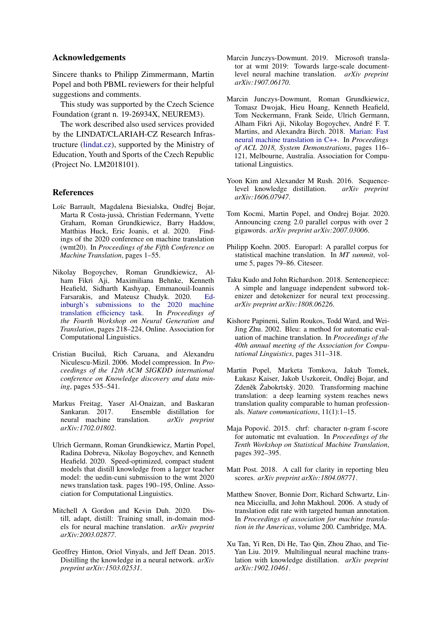# Acknowledgements

Sincere thanks to Philipp Zimmermann, Martin Popel and both PBML reviewers for their helpful suggestions and comments.

This study was supported by the Czech Science Foundation (grant n. 19-26934X, NEUREM3).

The work described also used services provided by the LINDAT/CLARIAH-CZ Research Infrastructure [\(lindat.cz\)](https://lindat.cz), supported by the Ministry of Education, Youth and Sports of the Czech Republic (Project No. LM2018101).

# References

- <span id="page-6-10"></span>Loïc Barrault, Magdalena Biesialska, Ondřej Bojar, Marta R Costa-jussà, Christian Federmann, Yvette Graham, Roman Grundkiewicz, Barry Haddow, Matthias Huck, Eric Joanis, et al. 2020. Findings of the 2020 conference on machine translation (wmt20). In *Proceedings of the Fifth Conference on Machine Translation*, pages 1–55.
- <span id="page-6-13"></span>Nikolay Bogoychev, Roman Grundkiewicz, Alham Fikri Aji, Maximiliana Behnke, Kenneth Heafield, Sidharth Kashyap, Emmanouil-Ioannis Farsarakis, and Mateusz Chudyk. 2020. [Ed](https://www.aclweb.org/anthology/2020.ngt-1.26)[inburgh's submissions to the 2020 machine](https://www.aclweb.org/anthology/2020.ngt-1.26) [translation efficiency task.](https://www.aclweb.org/anthology/2020.ngt-1.26) In *Proceedings of the Fourth Workshop on Neural Generation and Translation*, pages 218–224, Online. Association for Computational Linguistics.
- <span id="page-6-0"></span>Cristian Buciluă, Rich Caruana, and Alexandru Niculescu-Mizil. 2006. Model compression. In *Proceedings of the 12th ACM SIGKDD international conference on Knowledge discovery and data mining*, pages 535–541.
- <span id="page-6-7"></span>Markus Freitag, Yaser Al-Onaizan, and Baskaran Ensemble distillation for neural machine translation. *arXiv preprint arXiv:1702.01802*.
- <span id="page-6-1"></span>Ulrich Germann, Roman Grundkiewicz, Martin Popel, Radina Dobreva, Nikolay Bogoychev, and Kenneth Heafield. 2020. Speed-optimized, compact student models that distill knowledge from a larger teacher model: the uedin-cuni submission to the wmt 2020 news translation task. pages 190–195, Online. Association for Computational Linguistics.
- <span id="page-6-4"></span>Mitchell A Gordon and Kevin Duh. 2020. Distill, adapt, distill: Training small, in-domain models for neural machine translation. *arXiv preprint arXiv:2003.02877*.
- <span id="page-6-2"></span>Geoffrey Hinton, Oriol Vinyals, and Jeff Dean. 2015. Distilling the knowledge in a neural network. *arXiv preprint arXiv:1503.02531*.
- <span id="page-6-12"></span>Marcin Junczys-Dowmunt. 2019. Microsoft translator at wmt 2019: Towards large-scale documentlevel neural machine translation. *arXiv preprint arXiv:1907.06170*.
- <span id="page-6-14"></span>Marcin Junczys-Dowmunt, Roman Grundkiewicz, Tomasz Dwojak, Hieu Hoang, Kenneth Heafield, Tom Neckermann, Frank Seide, Ulrich Germann, Alham Fikri Aji, Nikolay Bogoychev, André F. T. Martins, and Alexandra Birch. 2018. [Marian: Fast](http://www.aclweb.org/anthology/P18-4020) [neural machine translation in C++.](http://www.aclweb.org/anthology/P18-4020) In *Proceedings of ACL 2018, System Demonstrations*, pages 116– 121, Melbourne, Australia. Association for Computational Linguistics.
- <span id="page-6-5"></span>Yoon Kim and Alexander M Rush. 2016. Sequencelevel knowledge distillation. *arXiv preprint arXiv:1606.07947*.
- <span id="page-6-15"></span>Tom Kocmi, Martin Popel, and Ondrej Bojar. 2020. Announcing czeng 2.0 parallel corpus with over 2 gigawords. *arXiv preprint arXiv:2007.03006*.
- <span id="page-6-9"></span>Philipp Koehn. 2005. Europarl: A parallel corpus for statistical machine translation. In *MT summit*, volume 5, pages 79–86. Citeseer.
- <span id="page-6-17"></span>Taku Kudo and John Richardson. 2018. Sentencepiece: A simple and language independent subword tokenizer and detokenizer for neural text processing. *arXiv preprint arXiv:1808.06226*.
- <span id="page-6-6"></span>Kishore Papineni, Salim Roukos, Todd Ward, and Wei-Jing Zhu. 2002. Bleu: a method for automatic evaluation of machine translation. In *Proceedings of the 40th annual meeting of the Association for Computational Linguistics*, pages 311–318.
- <span id="page-6-11"></span>Martin Popel, Marketa Tomkova, Jakub Tomek, Łukasz Kaiser, Jakob Uszkoreit, Ondřej Bojar, and Zdeněk Žabokrtský. 2020. Transforming machine translation: a deep learning system reaches news translation quality comparable to human professionals. *Nature communications*, 11(1):1–15.
- <span id="page-6-16"></span>Maja Popović. 2015. chrf: character n-gram f-score for automatic mt evaluation. In *Proceedings of the Tenth Workshop on Statistical Machine Translation*, pages 392–395.
- <span id="page-6-18"></span>Matt Post. 2018. A call for clarity in reporting bleu scores. *arXiv preprint arXiv:1804.08771*.
- <span id="page-6-8"></span>Matthew Snover, Bonnie Dorr, Richard Schwartz, Linnea Micciulla, and John Makhoul. 2006. A study of translation edit rate with targeted human annotation. In *Proceedings of association for machine translation in the Americas*, volume 200. Cambridge, MA.
- <span id="page-6-3"></span>Xu Tan, Yi Ren, Di He, Tao Qin, Zhou Zhao, and Tie-Yan Liu. 2019. Multilingual neural machine translation with knowledge distillation. *arXiv preprint arXiv:1902.10461*.